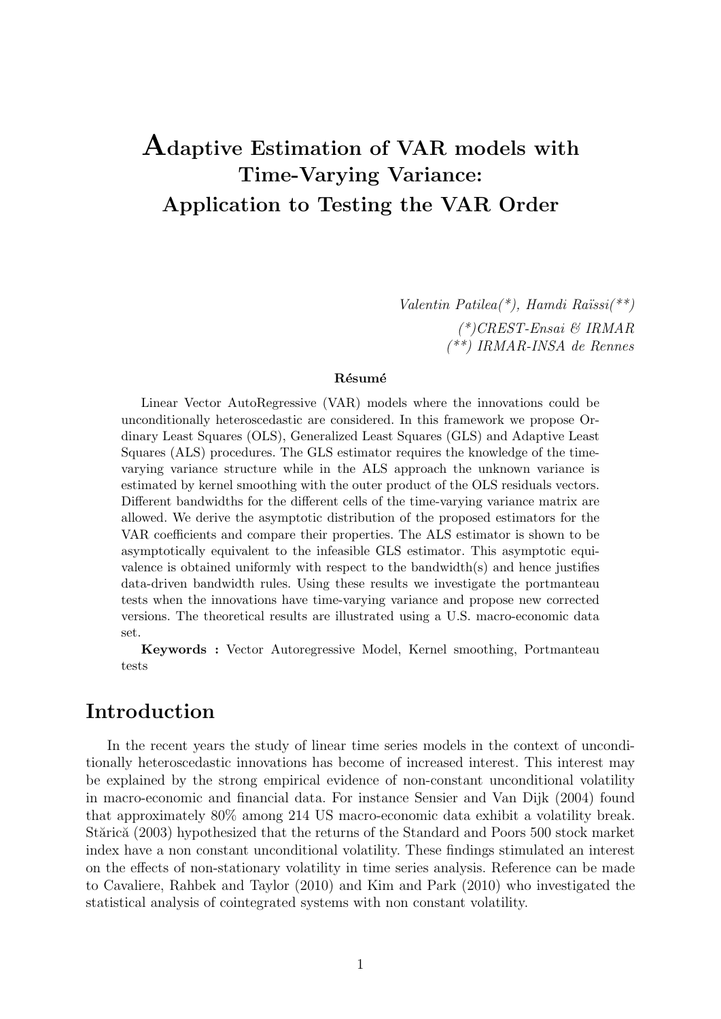# **Adaptive Estimation of VAR models with Time-Varying Variance: Application to Testing the VAR Order**

*Valentin Patilea(\*), Hamdi Ra¨ıssi(\*\*) (\*)CREST-Ensai & IRMAR (\*\*) IRMAR-INSA de Rennes*

#### **R´esum´e**

Linear Vector AutoRegressive (VAR) models where the innovations could be unconditionally heteroscedastic are considered. In this framework we propose Ordinary Least Squares (OLS), Generalized Least Squares (GLS) and Adaptive Least Squares (ALS) procedures. The GLS estimator requires the knowledge of the timevarying variance structure while in the ALS approach the unknown variance is estimated by kernel smoothing with the outer product of the OLS residuals vectors. Different bandwidths for the different cells of the time-varying variance matrix are allowed. We derive the asymptotic distribution of the proposed estimators for the VAR coefficients and compare their properties. The ALS estimator is shown to be asymptotically equivalent to the infeasible GLS estimator. This asymptotic equivalence is obtained uniformly with respect to the bandwidth(s) and hence justifies data-driven bandwidth rules. Using these results we investigate the portmanteau tests when the innovations have time-varying variance and propose new corrected versions. The theoretical results are illustrated using a U.S. macro-economic data set.

**Keywords :** Vector Autoregressive Model, Kernel smoothing, Portmanteau tests

## **Introduction**

In the recent years the study of linear time series models in the context of unconditionally heteroscedastic innovations has become of increased interest. This interest may be explained by the strong empirical evidence of non-constant unconditional volatility in macro-economic and financial data. For instance Sensier and Van Dijk (2004) found that approximately 80% among 214 US macro-economic data exhibit a volatility break. Stărică (2003) hypothesized that the returns of the Standard and Poors 500 stock market index have a non constant unconditional volatility. These findings stimulated an interest on the effects of non-stationary volatility in time series analysis. Reference can be made to Cavaliere, Rahbek and Taylor (2010) and Kim and Park (2010) who investigated the statistical analysis of cointegrated systems with non constant volatility.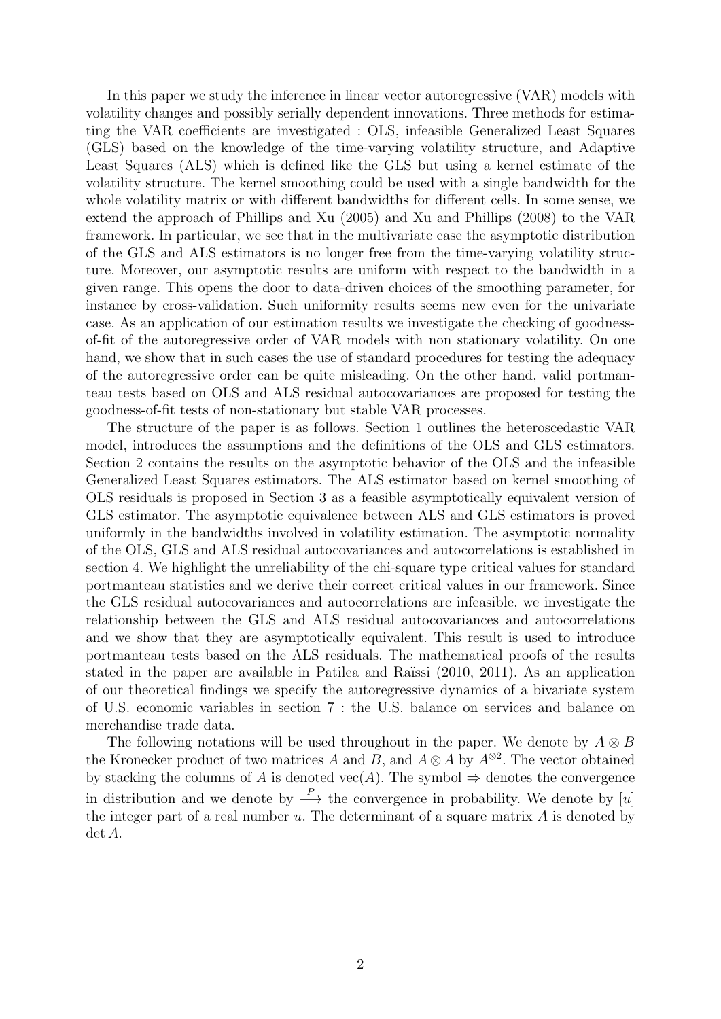In this paper we study the inference in linear vector autoregressive (VAR) models with volatility changes and possibly serially dependent innovations. Three methods for estimating the VAR coefficients are investigated : OLS, infeasible Generalized Least Squares (GLS) based on the knowledge of the time-varying volatility structure, and Adaptive Least Squares (ALS) which is defined like the GLS but using a kernel estimate of the volatility structure. The kernel smoothing could be used with a single bandwidth for the whole volatility matrix or with different bandwidths for different cells. In some sense, we extend the approach of Phillips and Xu (2005) and Xu and Phillips (2008) to the VAR framework. In particular, we see that in the multivariate case the asymptotic distribution of the GLS and ALS estimators is no longer free from the time-varying volatility structure. Moreover, our asymptotic results are uniform with respect to the bandwidth in a given range. This opens the door to data-driven choices of the smoothing parameter, for instance by cross-validation. Such uniformity results seems new even for the univariate case. As an application of our estimation results we investigate the checking of goodnessof-fit of the autoregressive order of VAR models with non stationary volatility. On one hand, we show that in such cases the use of standard procedures for testing the adequacy of the autoregressive order can be quite misleading. On the other hand, valid portmanteau tests based on OLS and ALS residual autocovariances are proposed for testing the goodness-of-fit tests of non-stationary but stable VAR processes.

The structure of the paper is as follows. Section 1 outlines the heteroscedastic VAR model, introduces the assumptions and the definitions of the OLS and GLS estimators. Section 2 contains the results on the asymptotic behavior of the OLS and the infeasible Generalized Least Squares estimators. The ALS estimator based on kernel smoothing of OLS residuals is proposed in Section 3 as a feasible asymptotically equivalent version of GLS estimator. The asymptotic equivalence between ALS and GLS estimators is proved uniformly in the bandwidths involved in volatility estimation. The asymptotic normality of the OLS, GLS and ALS residual autocovariances and autocorrelations is established in section 4. We highlight the unreliability of the chi-square type critical values for standard portmanteau statistics and we derive their correct critical values in our framework. Since the GLS residual autocovariances and autocorrelations are infeasible, we investigate the relationship between the GLS and ALS residual autocovariances and autocorrelations and we show that they are asymptotically equivalent. This result is used to introduce portmanteau tests based on the ALS residuals. The mathematical proofs of the results stated in the paper are available in Patilea and Raïssi (2010, 2011). As an application of our theoretical findings we specify the autoregressive dynamics of a bivariate system of U.S. economic variables in section 7 : the U.S. balance on services and balance on merchandise trade data.

The following notations will be used throughout in the paper. We denote by  $A \otimes B$ the Kronecker product of two matrices *A* and *B*, and  $A \otimes A$  by  $A^{\otimes 2}$ . The vector obtained by stacking the columns of *A* is denoted vec(*A*). The symbol  $\Rightarrow$  denotes the convergence in distribution and we denote by  $\stackrel{P}{\longrightarrow}$  the convergence in probability. We denote by [*u*] the integer part of a real number *u*. The determinant of a square matrix *A* is denoted by det *A*.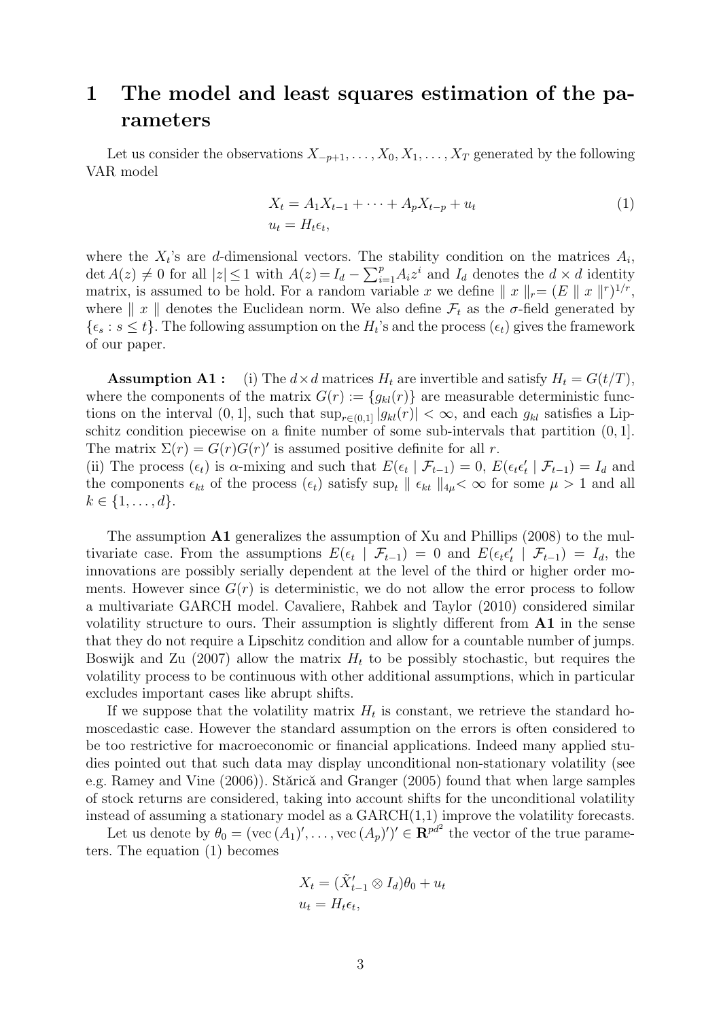## **1 The model and least squares estimation of the parameters**

Let us consider the observations  $X_{-p+1}, \ldots, X_0, X_1, \ldots, X_T$  generated by the following VAR model

$$
X_t = A_1 X_{t-1} + \dots + A_p X_{t-p} + u_t
$$
  
\n
$$
u_t = H_t \epsilon_t,
$$
\n(1)

where the  $X_t$ 's are *d*-dimensional vectors. The stability condition on the matrices  $A_i$ , det  $A(z) \neq 0$  for all  $|z| \leq 1$  with  $A(z) = I_d - \sum_{i=1}^p A_i z^i$  and  $I_d$  denotes the  $d \times d$  identity matrix, is assumed to be hold. For a random variable *x* we define  $||x||_r = (E ||x||^r)^{1/r}$ , where  $\| x \|$  denotes the Euclidean norm. We also define  $\mathcal{F}_t$  as the  $\sigma$ -field generated by  $\{\epsilon_s : s \leq t\}$ . The following assumption on the  $H_t$ 's and the process  $(\epsilon_t)$  gives the framework of our paper.

**Assumption A1 :** (i) The  $d \times d$  matrices  $H_t$  are invertible and satisfy  $H_t = G(t/T)$ , where the components of the matrix  $G(r) := \{g_{kl}(r)\}\$ are measurable deterministic functions on the interval  $(0, 1]$ , such that  $\sup_{r \in (0,1]} |g_{kl}(r)| < \infty$ , and each  $g_{kl}$  satisfies a Lipschitz condition piecewise on a finite number of some sub-intervals that partition (0*,* 1]. The matrix  $\Sigma(r) = G(r)G(r)'$  is assumed positive definite for all *r*.

(ii) The process  $(\epsilon_t)$  is  $\alpha$ -mixing and such that  $E(\epsilon_t | \mathcal{F}_{t-1}) = 0$ ,  $E(\epsilon_t \epsilon_t' | \mathcal{F}_{t-1}) = I_d$  and the components  $\epsilon_{kt}$  of the process  $(\epsilon_t)$  satisfy sup<sub>t</sub>  $\|\epsilon_{kt}\|_{4\mu} < \infty$  for some  $\mu > 1$  and all  $k \in \{1, \ldots, d\}.$ 

The assumption **A1** generalizes the assumption of Xu and Phillips (2008) to the multivariate case. From the assumptions  $E(\epsilon_t | \mathcal{F}_{t-1}) = 0$  and  $E(\epsilon_t \epsilon'_t | \mathcal{F}_{t-1}) = I_d$ , the innovations are possibly serially dependent at the level of the third or higher order moments. However since  $G(r)$  is deterministic, we do not allow the error process to follow a multivariate GARCH model. Cavaliere, Rahbek and Taylor (2010) considered similar volatility structure to ours. Their assumption is slightly different from **A1** in the sense that they do not require a Lipschitz condition and allow for a countable number of jumps. Boswijk and Zu (2007) allow the matrix  $H_t$  to be possibly stochastic, but requires the volatility process to be continuous with other additional assumptions, which in particular excludes important cases like abrupt shifts.

If we suppose that the volatility matrix  $H_t$  is constant, we retrieve the standard homoscedastic case. However the standard assumption on the errors is often considered to be too restrictive for macroeconomic or financial applications. Indeed many applied studies pointed out that such data may display unconditional non-stationary volatility (see e.g. Ramey and Vine  $(2006)$ . Stărică and Granger  $(2005)$  found that when large samples of stock returns are considered, taking into account shifts for the unconditional volatility instead of assuming a stationary model as a GARCH(1,1) improve the volatility forecasts.

Let us denote by  $\theta_0 = (\text{vec}(A_1)', \ldots, \text{vec}(A_p)')' \in \mathbb{R}^{pd^2}$  the vector of the true parameters. The equation (1) becomes

$$
X_t = (\tilde{X}'_{t-1} \otimes I_d)\theta_0 + u_t
$$
  

$$
u_t = H_t \epsilon_t,
$$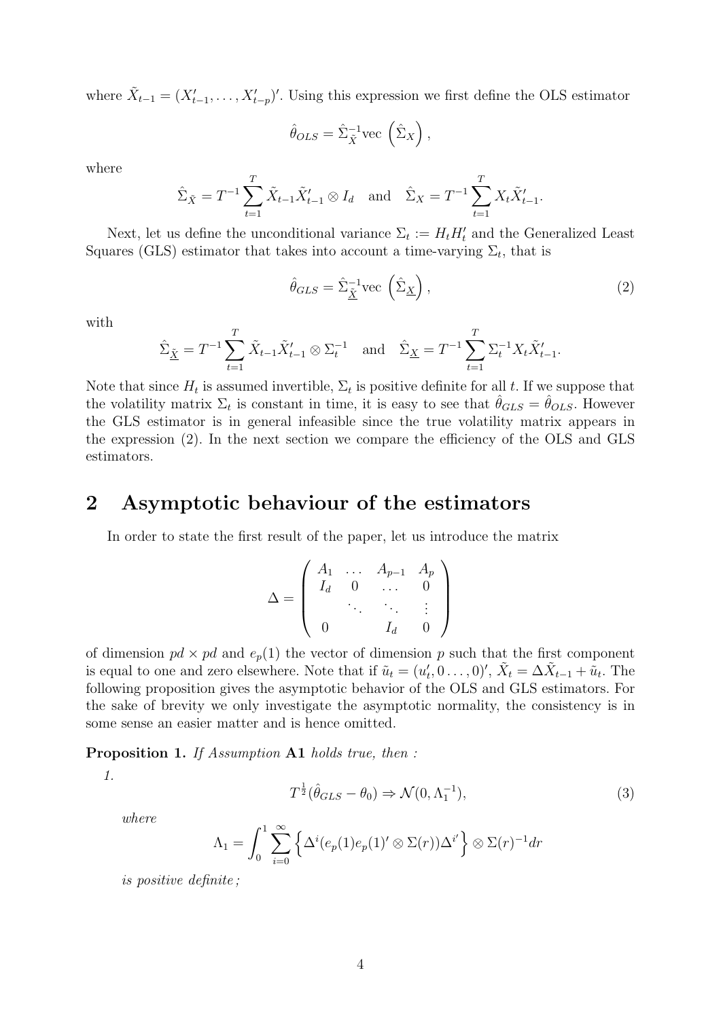where  $\tilde{X}_{t-1} = (X'_{t-1}, \ldots, X'_{t-p})'$ . Using this expression we first define the OLS estimator

$$
\hat{\theta}_{OLS} = \hat{\Sigma}_{\tilde{X}}^{-1} \text{vec}\left(\hat{\Sigma}_X\right),
$$

where

$$
\hat{\Sigma}_{\tilde{X}} = T^{-1} \sum_{t=1}^{T} \tilde{X}_{t-1} \tilde{X}'_{t-1} \otimes I_d \text{ and } \hat{\Sigma}_X = T^{-1} \sum_{t=1}^{T} X_t \tilde{X}'_{t-1}.
$$

Next, let us define the unconditional variance  $\Sigma_t := H_t H'_t$  and the Generalized Least Squares (GLS) estimator that takes into account a time-varying  $\Sigma_t$ , that is

$$
\hat{\theta}_{GLS} = \hat{\Sigma}_{\tilde{\underline{X}}}^{-1} \text{vec}\left(\hat{\Sigma}_{\underline{X}}\right),\tag{2}
$$

with

$$
\hat{\Sigma}_{\underline{\tilde{X}}} = T^{-1} \sum_{t=1}^{T} \tilde{X}_{t-1} \tilde{X}'_{t-1} \otimes \Sigma_t^{-1} \quad \text{and} \quad \hat{\Sigma}_{\underline{X}} = T^{-1} \sum_{t=1}^{T} \Sigma_t^{-1} X_t \tilde{X}'_{t-1}.
$$

Note that since  $H_t$  is assumed invertible,  $\Sigma_t$  is positive definite for all t. If we suppose that the volatility matrix  $\Sigma_t$  is constant in time, it is easy to see that  $\hat{\theta}_{GLS} = \hat{\theta}_{OLS}$ . However the GLS estimator is in general infeasible since the true volatility matrix appears in the expression (2). In the next section we compare the efficiency of the OLS and GLS estimators.

### **2 Asymptotic behaviour of the estimators**

In order to state the first result of the paper, let us introduce the matrix

$$
\Delta = \left( \begin{array}{cccc} A_1 & \dots & A_{p-1} & A_p \\ I_d & 0 & \dots & 0 \\ & \ddots & \ddots & \vdots \\ 0 & & I_d & 0 \end{array} \right)
$$

of dimension  $pd \times pd$  and  $e_p(1)$  the vector of dimension p such that the first component is equal to one and zero elsewhere. Note that if  $\tilde{u}_t = (u'_t, 0 \ldots, 0)'$ ,  $\tilde{X}_t = \Delta \tilde{X}_{t-1} + \tilde{u}_t$ . The following proposition gives the asymptotic behavior of the OLS and GLS estimators. For the sake of brevity we only investigate the asymptotic normality, the consistency is in some sense an easier matter and is hence omitted.

**Proposition 1.** *If Assumption* **A1** *holds true, then :*

*1.*

$$
T^{\frac{1}{2}}(\hat{\theta}_{GLS} - \theta_0) \Rightarrow \mathcal{N}(0, \Lambda_1^{-1}), \tag{3}
$$

*where*

$$
\Lambda_1 = \int_0^1 \sum_{i=0}^{\infty} \left\{ \Delta^i(e_p(1)e_p(1)'\otimes \Sigma(r))\Delta^{i'} \right\} \otimes \Sigma(r)^{-1} dr
$$

*is positive definite ;*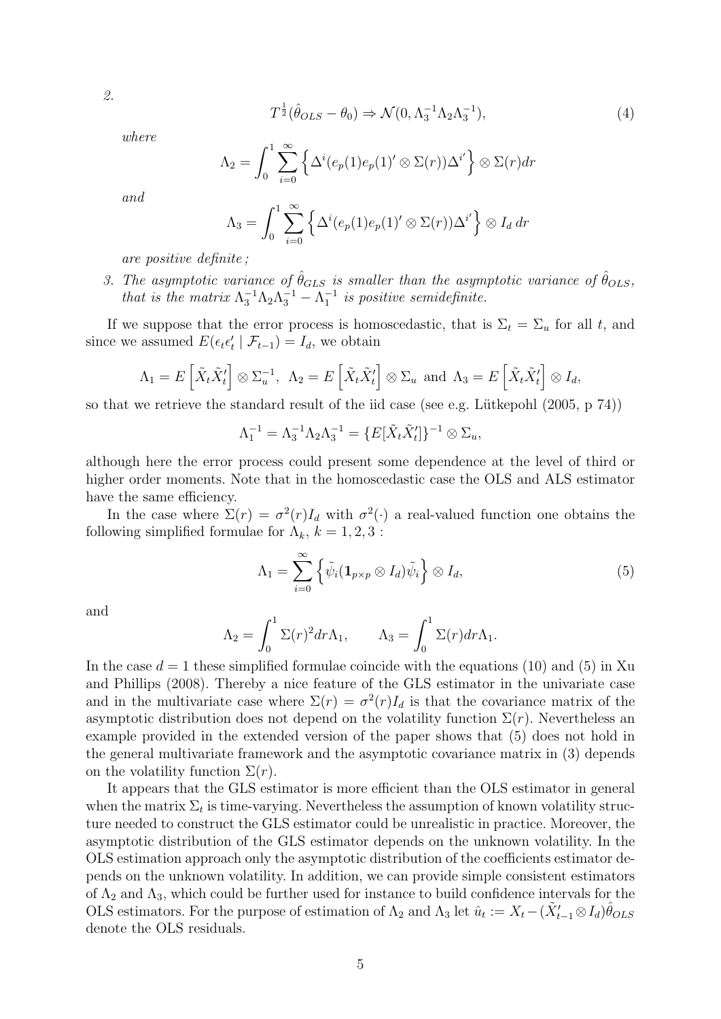$$
T^{\frac{1}{2}}(\hat{\theta}_{OLS} - \theta_0) \Rightarrow \mathcal{N}(0, \Lambda_3^{-1} \Lambda_2 \Lambda_3^{-1}), \tag{4}
$$

*where*

$$
\Lambda_2 = \int_0^1 \sum_{i=0}^\infty \left\{ \Delta^i(e_p(1)e_p(1)^\prime \otimes \Sigma(r))\Delta^{i^\prime} \right\} \otimes \Sigma(r) dr
$$

*and*

$$
\Lambda_3 = \int_0^1 \sum_{i=0}^\infty \left\{ \Delta^i(e_p(1)e_p(1)^\prime \otimes \Sigma(r)) \Delta^{i^\prime} \right\} \otimes I_d \, dr
$$

*are positive definite ;*

*3. The asymptotic variance of*  $\hat{\theta}_{GLS}$  *is smaller than the asymptotic variance of*  $\hat{\theta}_{OLS}$ *, that is the matrix*  $\Lambda_3^{-1} \Lambda_2 \Lambda_3^{-1} - \Lambda_1^{-1}$  *is positive semidefinite.* 

If we suppose that the error process is homoscedastic, that is  $\Sigma_t = \Sigma_u$  for all *t*, and since we assumed  $E(\epsilon_t \epsilon'_t | \mathcal{F}_{t-1}) = I_d$ , we obtain

$$
\Lambda_1 = E\left[\tilde{X}_t \tilde{X}'_t\right] \otimes \Sigma_u^{-1}, \ \ \Lambda_2 = E\left[\tilde{X}_t \tilde{X}'_t\right] \otimes \Sigma_u \ \text{and} \ \Lambda_3 = E\left[\tilde{X}_t \tilde{X}'_t\right] \otimes I_d,
$$

so that we retrieve the standard result of the iid case (see e.g. Lütkepohl  $(2005, p 74)$ )

$$
\Lambda_1^{-1} = \Lambda_3^{-1} \Lambda_2 \Lambda_3^{-1} = \{ E[\tilde{X}_t \tilde{X}_t'] \}^{-1} \otimes \Sigma_u,
$$

although here the error process could present some dependence at the level of third or higher order moments. Note that in the homoscedastic case the OLS and ALS estimator have the same efficiency.

In the case where  $\Sigma(r) = \sigma^2(r)I_d$  with  $\sigma^2(\cdot)$  a real-valued function one obtains the following simplified formulae for  $\Lambda_k$ ,  $k = 1, 2, 3$ :

$$
\Lambda_1 = \sum_{i=0}^{\infty} \left\{ \tilde{\psi}_i (\mathbf{1}_{p \times p} \otimes I_d) \tilde{\psi}_i \right\} \otimes I_d, \tag{5}
$$

and

$$
\Lambda_2 = \int_0^1 \Sigma(r)^2 dr \Lambda_1, \qquad \Lambda_3 = \int_0^1 \Sigma(r) dr \Lambda_1.
$$

In the case  $d = 1$  these simplified formulae coincide with the equations (10) and (5) in Xu and Phillips (2008). Thereby a nice feature of the GLS estimator in the univariate case and in the multivariate case where  $\Sigma(r) = \sigma^2(r)I_d$  is that the covariance matrix of the asymptotic distribution does not depend on the volatility function  $\Sigma(r)$ . Nevertheless an example provided in the extended version of the paper shows that (5) does not hold in the general multivariate framework and the asymptotic covariance matrix in (3) depends on the volatility function  $\Sigma(r)$ .

It appears that the GLS estimator is more efficient than the OLS estimator in general when the matrix  $\Sigma_t$  is time-varying. Nevertheless the assumption of known volatility structure needed to construct the GLS estimator could be unrealistic in practice. Moreover, the asymptotic distribution of the GLS estimator depends on the unknown volatility. In the OLS estimation approach only the asymptotic distribution of the coefficients estimator depends on the unknown volatility. In addition, we can provide simple consistent estimators of  $\Lambda_2$  and  $\Lambda_3$ , which could be further used for instance to build confidence intervals for the OLS estimators. For the purpose of estimation of  $Λ_2$  and  $Λ_3$  let  $\hat{u}_t := X_t - (\tilde{X}'_{t-1} \otimes I_d) \hat{\theta}_{OLS}$ denote the OLS residuals.

*2.*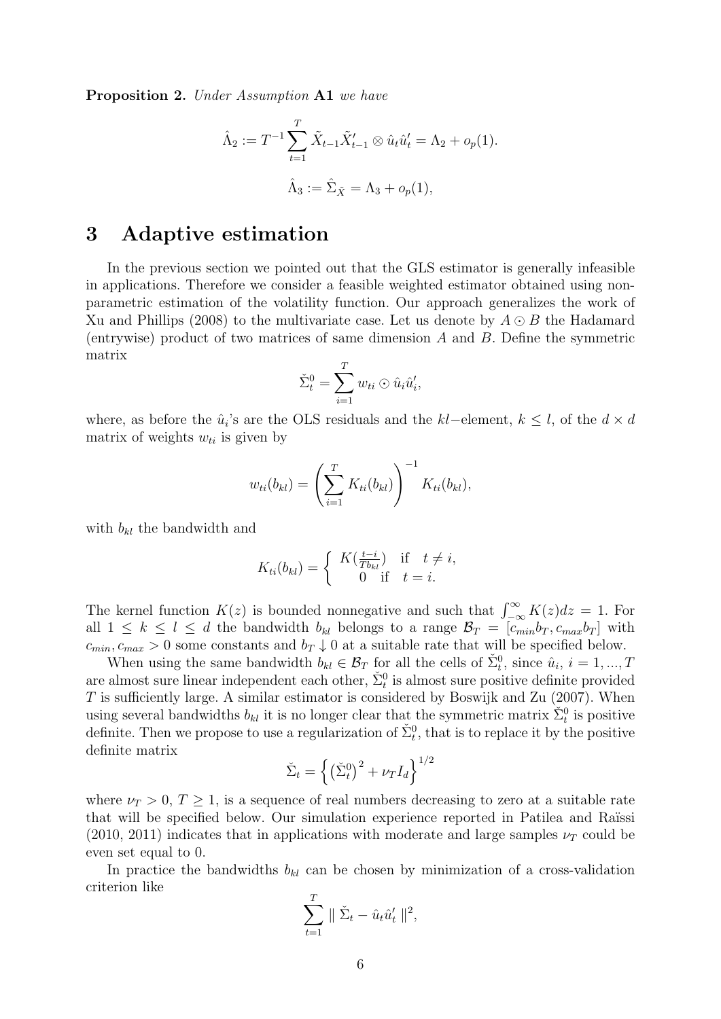**Proposition 2.** *Under Assumption* **A1** *we have*

$$
\hat{\Lambda}_2 := T^{-1} \sum_{t=1}^T \tilde{X}_{t-1} \tilde{X}'_{t-1} \otimes \hat{u}_t \hat{u}'_t = \Lambda_2 + o_p(1).
$$
  

$$
\hat{\Lambda}_3 := \hat{\Sigma}_{\tilde{X}} = \Lambda_3 + o_p(1),
$$

### **3 Adaptive estimation**

In the previous section we pointed out that the GLS estimator is generally infeasible in applications. Therefore we consider a feasible weighted estimator obtained using nonparametric estimation of the volatility function. Our approach generalizes the work of Xu and Phillips (2008) to the multivariate case. Let us denote by *A ⊙ B* the Hadamard (entrywise) product of two matrices of same dimension *A* and *B*. Define the symmetric matrix

$$
\check{\Sigma}_t^0 = \sum_{i=1}^T w_{ti} \odot \hat{u}_i \hat{u}'_i,
$$

where, as before the  $\hat{u}_i$ 's are the OLS residuals and the  $kl$ −element,  $k \leq l$ , of the  $d \times d$ matrix of weights  $w_{ti}$  is given by

$$
w_{ti}(b_{kl}) = \left(\sum_{i=1}^T K_{ti}(b_{kl})\right)^{-1} K_{ti}(b_{kl}),
$$

with *bkl* the bandwidth and

$$
K_{ti}(b_{kl}) = \begin{cases} K(\frac{t-i}{Tb_{kl}}) & \text{if } t \neq i, \\ 0 & \text{if } t = i. \end{cases}
$$

The kernel function  $K(z)$  is bounded nonnegative and such that  $\int_{-\infty}^{\infty} K(z)dz = 1$ . For all  $1 \leq k \leq l \leq d$  the bandwidth  $b_{kl}$  belongs to a range  $\mathcal{B}_T = [c_{min}b_T, c_{max}b_T]$  with  $c_{min}, c_{max} > 0$  some constants and  $b_T \downarrow 0$  at a suitable rate that will be specified below.

When using the same bandwidth  $b_{kl} \in \mathcal{B}_T$  for all the cells of  $\check{\Sigma}_t^0$ , since  $\hat{u}_i$ ,  $i = 1, ..., T$ are almost sure linear independent each other,  $\check{\Sigma}^0_t$  is almost sure positive definite provided *T* is sufficiently large. A similar estimator is considered by Boswijk and Zu (2007). When using several bandwidths  $b_{kl}$  it is no longer clear that the symmetric matrix  $\sum_{t=0}^{\infty} i$  is positive definite. Then we propose to use a regularization of  $\check{\Sigma}_t^0$ , that is to replace it by the positive definite matrix }<sup>1</sup>*/*<sup>2</sup>

$$
\check{\Sigma}_t = \left\{ \left( \check{\Sigma}_t^0 \right)^2 + \nu_T I_d \right\}^{1/2}
$$

where  $\nu_T > 0$ ,  $T \geq 1$ , is a sequence of real numbers decreasing to zero at a suitable rate that will be specified below. Our simulation experience reported in Patilea and Raïssi  $(2010, 2011)$  indicates that in applications with moderate and large samples  $\nu_T$  could be even set equal to 0.

In practice the bandwidths  $b_{kl}$  can be chosen by minimization of a cross-validation criterion like

$$
\sum_{t=1}^{T} \|\tilde{\Sigma}_t - \hat{u}_t \hat{u}'_t\|^2,
$$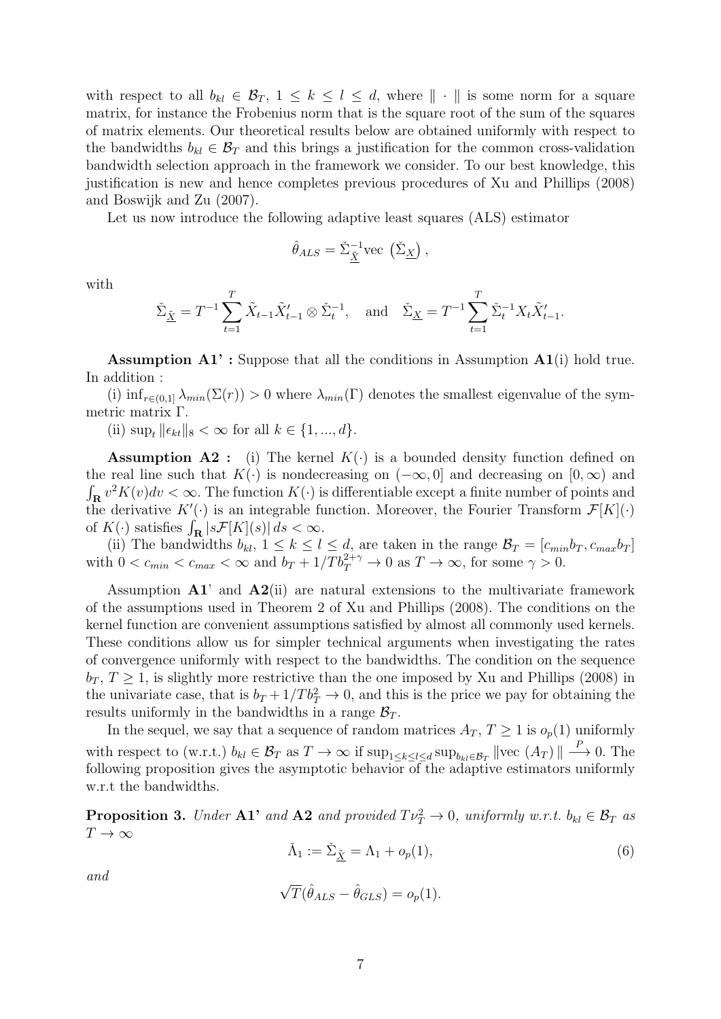with respect to all  $b_{kl} \in \mathcal{B}_T$ ,  $1 \leq k \leq l \leq d$ , where  $\|\cdot\|$  is some norm for a square matrix, for instance the Frobenius norm that is the square root of the sum of the squares of matrix elements. Our theoretical results below are obtained uniformly with respect to the bandwidths  $b_{kl} \in \mathcal{B}_T$  and this brings a justification for the common cross-validation bandwidth selection approach in the framework we consider. To our best knowledge, this justification is new and hence completes previous procedures of Xu and Phillips (2008) and Boswijk and Zu (2007).

Let us now introduce the following adaptive least squares (ALS) estimator

$$
\hat{\theta}_{ALS} = \check{\Sigma}_{\underline{\tilde{X}}}^{-1} \text{vec}(\check{\Sigma}_{\underline{X}}),
$$

with

$$
\tilde{\Sigma}_{\underline{\tilde{X}}} = T^{-1} \sum_{t=1}^{T} \tilde{X}_{t-1} \tilde{X}'_{t-1} \otimes \tilde{\Sigma}_{t}^{-1}, \text{ and } \tilde{\Sigma}_{\underline{X}} = T^{-1} \sum_{t=1}^{T} \tilde{\Sigma}_{t}^{-1} X_{t} \tilde{X}'_{t-1}.
$$

**Assumption A1' :** Suppose that all the conditions in Assumption **A1**(i) hold true. In addition :

(i)  $\inf_{r \in (0,1]} \lambda_{min}(\Sigma(r)) > 0$  where  $\lambda_{min}(\Gamma)$  denotes the smallest eigenvalue of the symmetric matrix Γ.

 $(iii) \sup_t ||\epsilon_{kt}||_8 < \infty \text{ for all } k \in \{1, ..., d\}.$ 

**Assumption A2 :** (i) The kernel  $K(\cdot)$  is a bounded density function defined on the real line such that  $K(\cdot)$  is nondecreasing on  $(-\infty, 0]$  and decreasing on  $[0, \infty)$  and  $\int_{\mathbf{R}} v^2 K(v) dv < \infty$ . The function  $K(\cdot)$  is differentiable except a finite number of points and the derivative  $K'(\cdot)$  is an integrable function. Moreover, the Fourier Transform  $\mathcal{F}[K](\cdot)$ of  $K(\cdot)$  satisfies  $\int_{\mathbf{R}} |s \mathcal{F}[K](s)| ds < \infty$ .

(ii) The bandwidths  $b_{kl}$ ,  $1 \leq k \leq l \leq d$ , are taken in the range  $\mathcal{B}_T = [c_{min}b_T, c_{max}b_T]$ with  $0 < c_{min} < c_{max} < \infty$  and  $b_T + 1/Tb_T^{2+\gamma} \to 0$  as  $T \to \infty$ , for some  $\gamma > 0$ .

Assumption **A1**' and **A2**(ii) are natural extensions to the multivariate framework of the assumptions used in Theorem 2 of Xu and Phillips (2008). The conditions on the kernel function are convenient assumptions satisfied by almost all commonly used kernels. These conditions allow us for simpler technical arguments when investigating the rates of convergence uniformly with respect to the bandwidths. The condition on the sequence  $b_T$ ,  $T \geq 1$ , is slightly more restrictive than the one imposed by Xu and Phillips (2008) in the univariate case, that is  $b_T + 1/T b_T^2 \rightarrow 0$ , and this is the price we pay for obtaining the results uniformly in the bandwidths in a range  $\mathcal{B}_T$ .

In the sequel, we say that a sequence of random matrices  $A_T$ ,  $T \geq 1$  is  $o_p(1)$  uniformly with respect to (w.r.t.)  $b_{kl} \in \mathcal{B}_T$  as  $T \to \infty$  if  $\sup_{1 \leq k \leq l \leq d} \sup_{b_{kl} \in \mathcal{B}_T} ||\text{vec}(A_T)|| \stackrel{P}{\longrightarrow} 0$ . The following proposition gives the asymptotic behavior of the adaptive estimators uniformly w.r.t the bandwidths.

**Proposition 3.** *Under*  $\mathbf{A1}$ <sup>,</sup> and  $\mathbf{A2}$  and provided  $T v_T^2 \to 0$ , uniformly w.r.t.  $b_{kl} \in \mathcal{B}_T$  as  $T \rightarrow \infty$ 

$$
\check{\Lambda}_1 := \check{\Sigma}_{\underline{\tilde{X}}} = \Lambda_1 + o_p(1),\tag{6}
$$

*and*

$$
\sqrt{T}(\hat{\theta}_{ALS} - \hat{\theta}_{GLS}) = o_p(1).
$$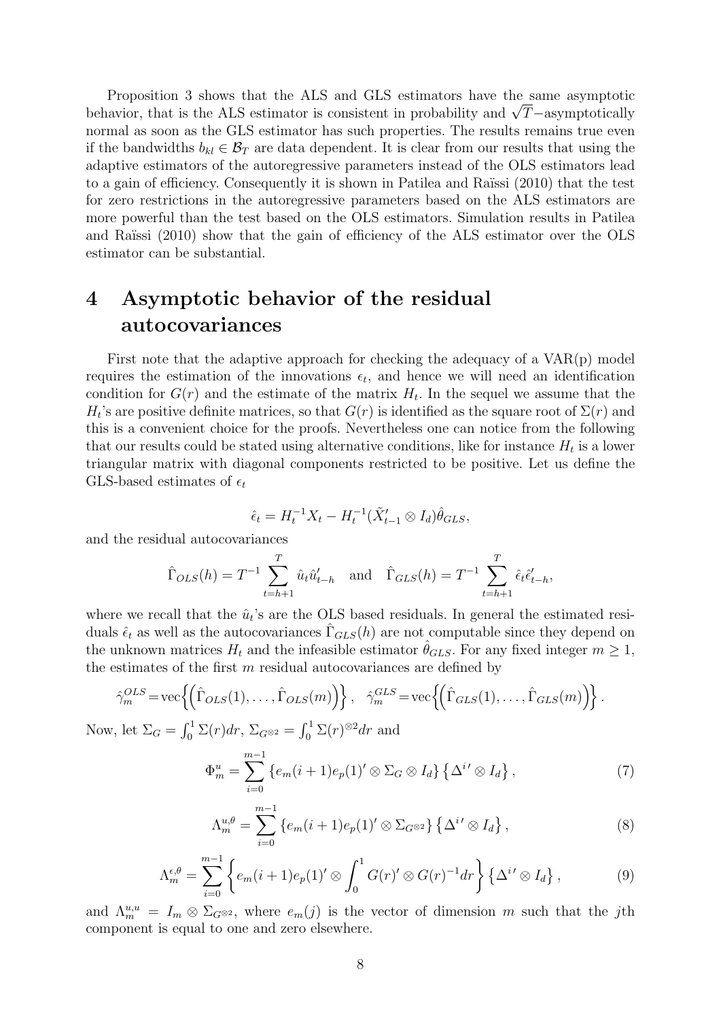Proposition 3 shows that the ALS and GLS estimators have the same asymptotic behavior, that is the ALS estimator is consistent in probability and *<sup>√</sup> T−*asymptotically normal as soon as the GLS estimator has such properties. The results remains true even if the bandwidths  $b_{kl} \in \mathcal{B}_T$  are data dependent. It is clear from our results that using the adaptive estimators of the autoregressive parameters instead of the OLS estimators lead to a gain of efficiency. Consequently it is shown in Patilea and Raïssi (2010) that the test for zero restrictions in the autoregressive parameters based on the ALS estimators are more powerful than the test based on the OLS estimators. Simulation results in Patilea and Raïssi (2010) show that the gain of efficiency of the ALS estimator over the OLS estimator can be substantial.

# **4 Asymptotic behavior of the residual autocovariances**

First note that the adaptive approach for checking the adequacy of a VAR(p) model requires the estimation of the innovations  $\epsilon_t$ , and hence we will need an identification condition for  $G(r)$  and the estimate of the matrix  $H_t$ . In the sequel we assume that the  $H_t$ 's are positive definite matrices, so that  $G(r)$  is identified as the square root of  $\Sigma(r)$  and this is a convenient choice for the proofs. Nevertheless one can notice from the following that our results could be stated using alternative conditions, like for instance  $H_t$  is a lower triangular matrix with diagonal components restricted to be positive. Let us define the GLS-based estimates of  $\epsilon_t$ 

$$
\hat{\epsilon}_t = H_t^{-1} X_t - H_t^{-1} (\tilde{X}'_{t-1} \otimes I_d) \hat{\theta}_{GLS},
$$

and the residual autocovariances

$$
\hat{\Gamma}_{OLS}(h) = T^{-1} \sum_{t=h+1}^{T} \hat{u}_t \hat{u}'_{t-h}
$$
 and  $\hat{\Gamma}_{GLS}(h) = T^{-1} \sum_{t=h+1}^{T} \hat{\epsilon}_t \hat{\epsilon}'_{t-h}$ ,

where we recall that the  $\hat{u}_t$ 's are the OLS based residuals. In general the estimated residuals  $\hat{\epsilon}_t$  as well as the autocovariances  $\hat{\Gamma}_{GLS}(h)$  are not computable since they depend on the unknown matrices  $H_t$  and the infeasible estimator  $\theta_{GLS}$ . For any fixed integer  $m \geq 1$ , the estimates of the first *m* residual autocovariances are defined by

$$
\hat{\gamma}_m^{OLS} = \text{vec}\left\{ \left( \hat{\Gamma}_{OLS}(1), \dots, \hat{\Gamma}_{OLS}(m) \right) \right\}, \quad \hat{\gamma}_m^{GLS} = \text{vec}\left\{ \left( \hat{\Gamma}_{GLS}(1), \dots, \hat{\Gamma}_{GLS}(m) \right) \right\}.
$$

Now, let  $\Sigma_G = \int_0^1 \Sigma(r) dr$ ,  $\Sigma_{G^{\otimes 2}} = \int_0^1 \Sigma(r)^{\otimes 2} dr$  and

$$
\Phi_m^u = \sum_{i=0}^{m-1} \left\{ e_m(i+1)e_p(1)^\prime \otimes \Sigma_G \otimes I_d \right\} \left\{ \Delta^{i\prime} \otimes I_d \right\},\tag{7}
$$

$$
\Lambda_m^{u,\theta} = \sum_{i=0}^{m-1} \left\{ e_m(i+1)e_p(1)^\prime \otimes \Sigma_{G^{\otimes 2}} \right\} \left\{ \Delta^{i\prime} \otimes I_d \right\},\tag{8}
$$

$$
\Lambda_m^{\epsilon,\theta} = \sum_{i=0}^{m-1} \left\{ e_m(i+1)e_p(1)'\otimes \int_0^1 G(r)'\otimes G(r)^{-1}dr \right\} \left\{ \Delta^{i'}\otimes I_d \right\},\tag{9}
$$

and  $\Lambda_m^{u,u} = I_m \otimes \Sigma_{G^{\otimes 2}}$ , where  $e_m(j)$  is the vector of dimension *m* such that the *j*th component is equal to one and zero elsewhere.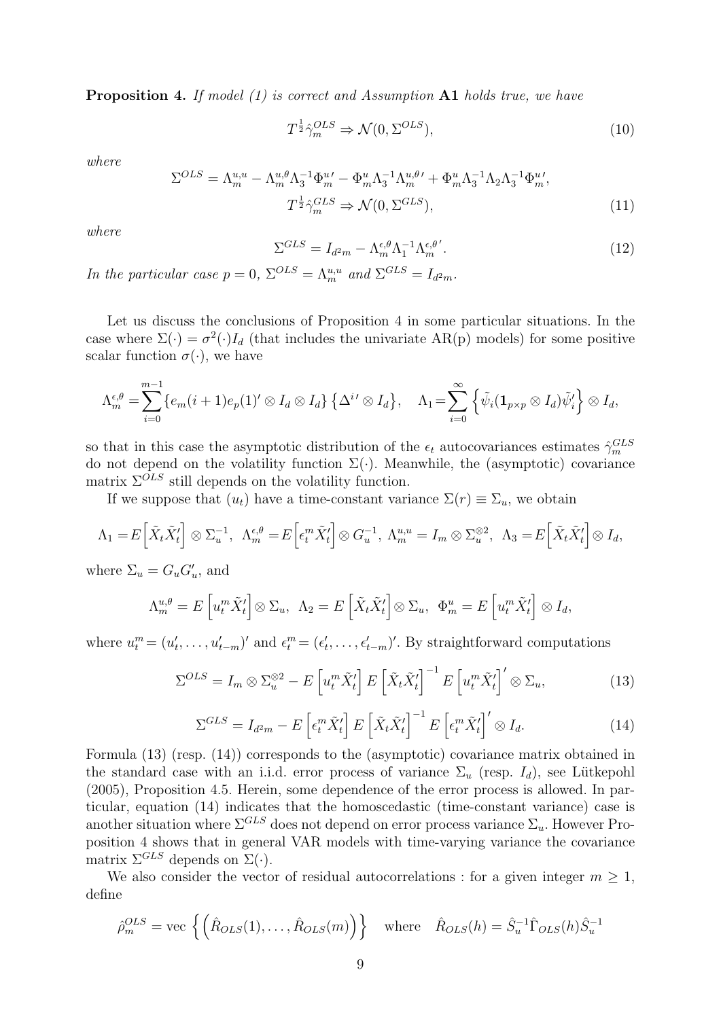**Proposition 4.** *If model (1) is correct and Assumption* **A1** *holds true, we have*

$$
T^{\frac{1}{2}}\hat{\gamma}_m^{OLS} \Rightarrow \mathcal{N}(0, \Sigma^{OLS}),\tag{10}
$$

*where*

$$
\Sigma^{OLS} = \Lambda_m^{u,u} - \Lambda_m^{u,\theta} \Lambda_3^{-1} \Phi_m^{u\prime} - \Phi_m^u \Lambda_3^{-1} \Lambda_m^{u,\theta\prime} + \Phi_m^u \Lambda_3^{-1} \Lambda_2 \Lambda_3^{-1} \Phi_m^{u\prime},
$$
  

$$
T^{\frac{1}{2}} \hat{\gamma}_m^{GLS} \Rightarrow \mathcal{N}(0, \Sigma^{GLS}),
$$
 (11)

*where*

$$
\Sigma^{GLS} = I_{d^2m} - \Lambda_m^{\epsilon,\theta} \Lambda_1^{-1} \Lambda_m^{\epsilon,\theta'}.
$$
\n(12)

*In the particular case*  $p = 0$ ,  $\Sigma^{OLS} = \Lambda_m^{u,u}$  and  $\Sigma^{GLS} = I_{d^2m}$ .

Let us discuss the conclusions of Proposition 4 in some particular situations. In the case where  $\Sigma(\cdot) = \sigma^2(\cdot)I_d$  (that includes the univariate AR(p) models) for some positive scalar function  $\sigma(\cdot)$ , we have

$$
\Lambda_m^{\epsilon,\theta} = \sum_{i=0}^{m-1} \{e_m(i+1)e_p(1)^\prime \otimes I_d \otimes I_d\} \{\Delta^{i\prime} \otimes I_d\}, \quad \Lambda_1 = \sum_{i=0}^{\infty} \{\tilde{\psi}_i(\mathbf{1}_{p\times p} \otimes I_d)\tilde{\psi}'_i\} \otimes I_d,
$$

so that in this case the asymptotic distribution of the  $\epsilon_t$  autocovariances estimates  $\hat{\gamma}_m^{GLS}$ do not depend on the volatility function  $\Sigma(\cdot)$ . Meanwhile, the (asymptotic) covariance matrix  $\Sigma^{OLS}$  still depends on the volatility function.

If we suppose that  $(u_t)$  have a time-constant variance  $\Sigma(r) \equiv \Sigma_u$ , we obtain

$$
\Lambda_1 = E\left[\tilde{X}_t \tilde{X}'_t\right] \otimes \Sigma_u^{-1}, \ \ \Lambda_m^{\epsilon,\theta} = E\left[\epsilon_t^m \tilde{X}'_t\right] \otimes G_u^{-1}, \ \Lambda_m^{u,u} = I_m \otimes \Sigma_u^{\otimes 2}, \ \ \Lambda_3 = E\left[\tilde{X}_t \tilde{X}'_t\right] \otimes I_d,
$$

where  $\Sigma_u = G_u G'_u$ , and

$$
\Lambda_m^{u,\theta} = E\left[u_t^m \tilde{X}'_t\right] \otimes \Sigma_u, \ \Lambda_2 = E\left[\tilde{X}_t \tilde{X}'_t\right] \otimes \Sigma_u, \ \Phi_m^u = E\left[u_t^m \tilde{X}'_t\right] \otimes I_d,
$$

where  $u_t^m = (u'_t, \ldots, u'_{t-m})'$  and  $\epsilon_t^m = (\epsilon'_t, \ldots, \epsilon'_{t-m})'$ . By straightforward computations

$$
\Sigma^{OLS} = I_m \otimes \Sigma_u^{\otimes 2} - E\left[u_t^m \tilde{X}_t'\right] E\left[\tilde{X}_t \tilde{X}_t'\right]^{-1} E\left[u_t^m \tilde{X}_t'\right]'\otimes \Sigma_u,\tag{13}
$$

$$
\Sigma^{GLS} = I_{d^2m} - E\left[\epsilon_t^m \tilde{X}'_t\right] E\left[\tilde{X}_t \tilde{X}'_t\right]^{-1} E\left[\epsilon_t^m \tilde{X}'_t\right]' \otimes I_d. \tag{14}
$$

Formula (13) (resp. (14)) corresponds to the (asymptotic) covariance matrix obtained in the standard case with an i.i.d. error process of variance  $\Sigma_u$  (resp.  $I_d$ ), see Lütkepohl (2005), Proposition 4.5. Herein, some dependence of the error process is allowed. In particular, equation (14) indicates that the homoscedastic (time-constant variance) case is another situation where  $\Sigma^{GLS}$  does not depend on error process variance  $\Sigma_u$ . However Proposition 4 shows that in general VAR models with time-varying variance the covariance matrix  $\Sigma^{GLS}$  depends on  $\Sigma(\cdot)$ .

We also consider the vector of residual autocorrelations : for a given integer  $m \geq 1$ , define

$$
\hat{\rho}_m^{OLS} = \text{vec}\left\{ \left( \hat{R}_{OLS}(1), \dots, \hat{R}_{OLS}(m) \right) \right\} \quad \text{where} \quad \hat{R}_{OLS}(h) = \hat{S}_u^{-1} \hat{\Gamma}_{OLS}(h) \hat{S}_u^{-1}
$$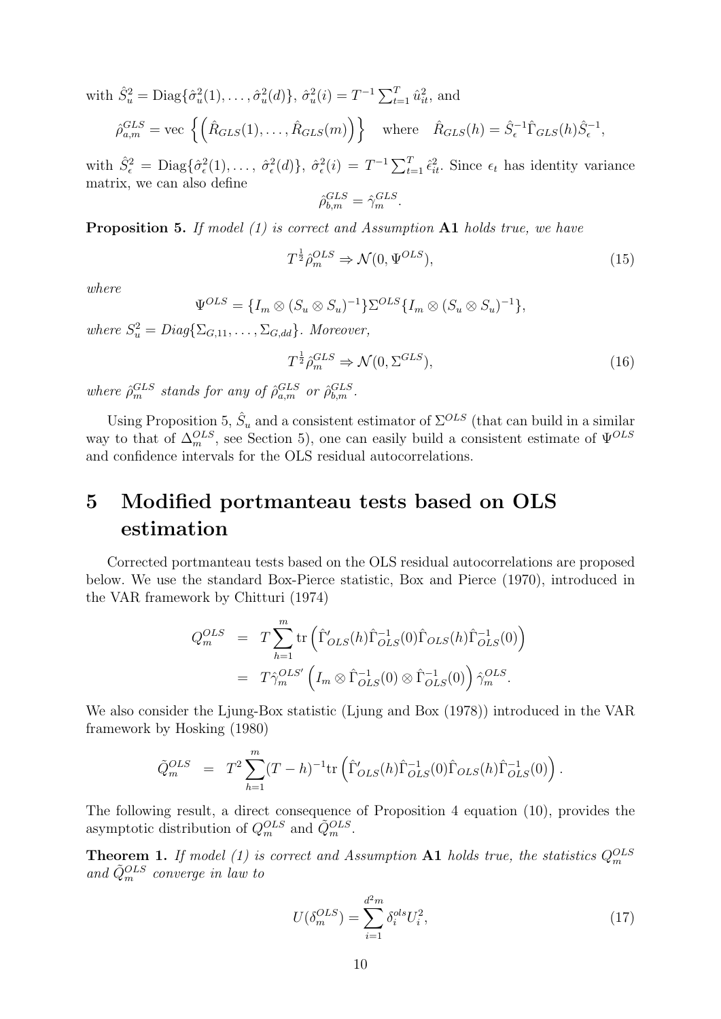with 
$$
\hat{S}_u^2 = \text{Diag}\{\hat{\sigma}_u^2(1), \dots, \hat{\sigma}_u^2(d)\}, \hat{\sigma}_u^2(i) = T^{-1} \sum_{t=1}^T \hat{u}_{it}^2
$$
, and  
\n
$$
\hat{\rho}_{a,m}^{GLS} = \text{vec}\left\{\left(\hat{R}_{GLS}(1), \dots, \hat{R}_{GLS}(m)\right)\right\} \text{ where } \hat{R}_{GLS}(h) = \hat{S}_{\epsilon}^{-1} \hat{\Gamma}_{GLS}(h) \hat{S}_{\epsilon}^{-1},
$$

with  $\hat{S}_{\epsilon}^2 = \text{Diag}\{\hat{\sigma}_{\epsilon}^2(1),\ldots,\hat{\sigma}_{\epsilon}^2(d)\},\ \hat{\sigma}_{\epsilon}^2(i) = T^{-1}\sum_{t=1}^T \hat{\epsilon}_{it}^2$ . Since  $\epsilon_t$  has identity variance matrix, we can also define  $G$ r $G$ *GLS*

$$
\hat{\rho}_{b,m}^{GLS} = \hat{\gamma}_m^{GLS}.
$$

**Proposition 5.** *If model (1) is correct and Assumption* **A1** *holds true, we have*

$$
T^{\frac{1}{2}}\hat{\rho}_m^{OLS} \Rightarrow \mathcal{N}(0, \Psi^{OLS}),\tag{15}
$$

*where*

$$
\Psi^{OLS} = \{I_m \otimes (S_u \otimes S_u)^{-1}\} \Sigma^{OLS} \{I_m \otimes (S_u \otimes S_u)^{-1}\},
$$

 $where S_u^2 = Diag\{\Sigma_{G,11}, \ldots, \Sigma_{G,dd}\}. Moreover,$ 

$$
T^{\frac{1}{2}}\hat{\rho}_m^{GLS} \Rightarrow \mathcal{N}(0, \Sigma^{GLS}),\tag{16}
$$

*where*  $\hat{\rho}_m^{GLS}$  *stands for any of*  $\hat{\rho}_{a,m}^{GLS}$  *or*  $\hat{\rho}_{b,m}^{GLS}$ *.* 

Using Proposition 5,  $\hat{S}_u$  and a consistent estimator of  $\Sigma^{OLS}$  (that can build in a similar way to that of  $\Delta_m^{OLS}$ , see Section 5), one can easily build a consistent estimate of  $\Psi^{OLS}$ and confidence intervals for the OLS residual autocorrelations.

# **5 Modified portmanteau tests based on OLS estimation**

Corrected portmanteau tests based on the OLS residual autocorrelations are proposed below. We use the standard Box-Pierce statistic, Box and Pierce (1970), introduced in the VAR framework by Chitturi (1974)

$$
Q_m^{OLS} = T \sum_{h=1}^m \text{tr}\left(\hat{\Gamma}'_{OLS}(h)\hat{\Gamma}_{OLS}^{-1}(0)\hat{\Gamma}_{OLS}(h)\hat{\Gamma}_{OLS}^{-1}(0)\right)
$$
  
=  $T \hat{\gamma}_m^{OLS'} \left(I_m \otimes \hat{\Gamma}_{OLS}^{-1}(0) \otimes \hat{\Gamma}_{OLS}^{-1}(0)\right) \hat{\gamma}_m^{OLS}.$ 

We also consider the Ljung-Box statistic (Ljung and Box (1978)) introduced in the VAR framework by Hosking (1980)

$$
\tilde{Q}_m^{OLS} = T^2 \sum_{h=1}^m (T-h)^{-1} \text{tr} \left( \hat{\Gamma}'_{OLS}(h) \hat{\Gamma}_{OLS}^{-1}(0) \hat{\Gamma}_{OLS}(h) \hat{\Gamma}_{OLS}^{-1}(0) \right).
$$

The following result, a direct consequence of Proposition 4 equation (10), provides the asymptotic distribution of  $Q_m^{OLS}$  and  $\tilde{Q}_m^{OLS}$ .

**Theorem 1.** *If model* (1) is correct and Assumption **A1** holds true, the statistics  $Q_m^{OLS}$ *and Q*˜*OLS <sup>m</sup> converge in law to*

$$
U(\delta_m^{OLS}) = \sum_{i=1}^{d^2 m} \delta_i^{ols} U_i^2,\tag{17}
$$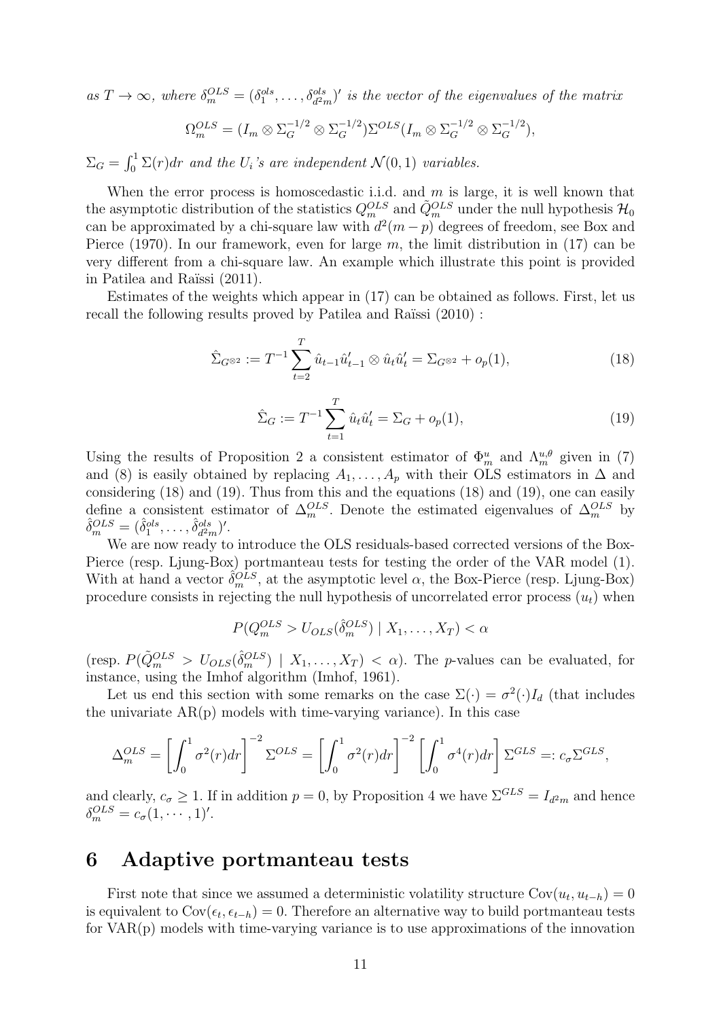$as T \to \infty$ , where  $\delta_m^{OLS} = (\delta_1^{ols}, \ldots, \delta_{d^2m}^{ols})'$  is the vector of the eigenvalues of the matrix

$$
\Omega_m^{OLS} = (I_m \otimes \Sigma_G^{-1/2} \otimes \Sigma_G^{-1/2}) \Sigma^{OLS} (I_m \otimes \Sigma_G^{-1/2} \otimes \Sigma_G^{-1/2}),
$$

 $\Sigma_G = \int_0^1 \Sigma(r) dr$  and the  $U_i$ 's are independent  $\mathcal{N}(0, 1)$  variables.

When the error process is homoscedastic i.i.d. and *m* is large, it is well known that the asymptotic distribution of the statistics  $Q_m^{OLS}$  and  $\tilde{Q}_m^{OLS}$  under the null hypothesis  $\mathcal{H}_0$ can be approximated by a chi-square law with  $d^2(m-p)$  degrees of freedom, see Box and Pierce (1970). In our framework, even for large *m*, the limit distribution in (17) can be very different from a chi-square law. An example which illustrate this point is provided in Patilea and Raïssi (2011).

Estimates of the weights which appear in (17) can be obtained as follows. First, let us recall the following results proved by Patilea and Raïssi (2010) :

$$
\hat{\Sigma}_{G^{\otimes 2}} := T^{-1} \sum_{t=2}^{T} \hat{u}_{t-1} \hat{u}'_{t-1} \otimes \hat{u}_t \hat{u}'_t = \Sigma_{G^{\otimes 2}} + o_p(1),
$$
\n(18)

$$
\hat{\Sigma}_G := T^{-1} \sum_{t=1}^T \hat{u}_t \hat{u}'_t = \Sigma_G + o_p(1),\tag{19}
$$

Using the results of Proposition 2 a consistent estimator of  $\Phi_m^u$  and  $\Lambda_m^{u,\theta}$  given in (7) and (8) is easily obtained by replacing  $A_1, \ldots, A_p$  with their OLS estimators in  $\Delta$  and considering (18) and (19). Thus from this and the equations (18) and (19), one can easily define a consistent estimator of  $\Delta_m^{OLS}$ . Denote the estimated eigenvalues of  $\Delta_m^{OLS}$  by  $\hat{\delta}^{OLS}_{m} = (\hat{\delta}^{ols}_{1}, \ldots, \hat{\delta}^{ols}_{d^2}$  $\frac{ols}{d^2m}$ <sup> $)$ </sup>.

We are now ready to introduce the OLS residuals-based corrected versions of the Box-Pierce (resp. Ljung-Box) portmanteau tests for testing the order of the VAR model (1). With at hand a vector  $\hat{\delta}_m^{OLS}$ , at the asymptotic level  $\alpha$ , the Box-Pierce (resp. Ljung-Box) procedure consists in rejecting the null hypothesis of uncorrelated error process  $(u_t)$  when

$$
P(Q_m^{OLS} > U_{OLS}(\hat{\delta}_m^{OLS}) \mid X_1, \dots, X_T) < \alpha
$$

 $(\text{resp. } P(\tilde{Q}_m^{OLS} > U_{OLS}(\hat{\delta}_m^{OLS}) | X_1, \ldots, X_T) < \alpha)$ . The *p*-values can be evaluated, for instance, using the Imhof algorithm (Imhof, 1961).

Let us end this section with some remarks on the case  $\Sigma(\cdot) = \sigma^2(\cdot)I_d$  (that includes the univariate  $AR(p)$  models with time-varying variance). In this case

$$
\Delta_m^{OLS} = \left[ \int_0^1 \sigma^2(r) dr \right]^{-2} \Sigma^{OLS} = \left[ \int_0^1 \sigma^2(r) dr \right]^{-2} \left[ \int_0^1 \sigma^4(r) dr \right] \Sigma^{GLS} =: c_{\sigma} \Sigma^{GLS},
$$

and clearly,  $c_{\sigma} \geq 1$ . If in addition  $p = 0$ , by Proposition 4 we have  $\Sigma^{GLS} = I_{d^2m}$  and hence  $\delta_m^{OLS} = c_\sigma(1, \cdots, 1)'.$ 

#### **6 Adaptive portmanteau tests**

First note that since we assumed a deterministic volatility structure  $Cov(u_t, u_{t-h}) = 0$ is equivalent to  $Cov(\epsilon_t, \epsilon_{t-h}) = 0$ . Therefore an alternative way to build portmanteau tests for VAR(p) models with time-varying variance is to use approximations of the innovation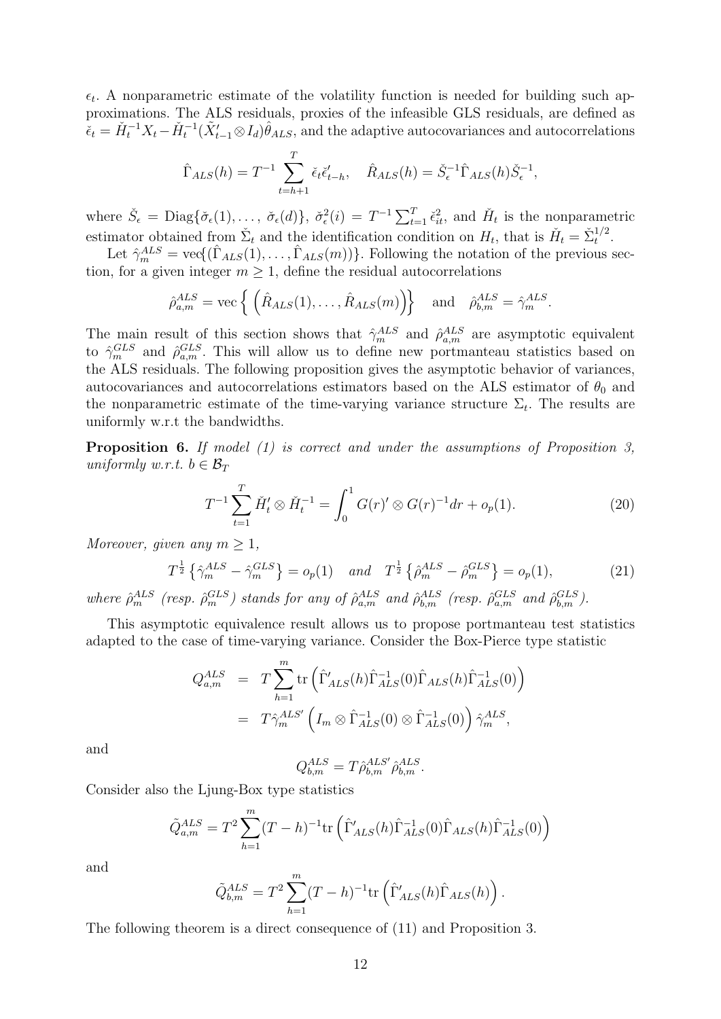$\epsilon_t$ . A nonparametric estimate of the volatility function is needed for building such approximations. The ALS residuals, proxies of the infeasible GLS residuals, are defined as  $\tilde{\epsilon}_t = \check{H}_t^{-1} X_t - \check{H}_t^{-1} (\tilde{X}'_{t-1} \otimes I_d) \hat{\theta}_{ALS}$ , and the adaptive autocovariances and autocorrelations

$$
\hat{\Gamma}_{ALS}(h) = T^{-1} \sum_{t=h+1}^T \check{\epsilon}_t \check{\epsilon}'_{t-h}, \quad \hat{R}_{ALS}(h) = \check{S}_{\epsilon}^{-1} \hat{\Gamma}_{ALS}(h) \check{S}_{\epsilon}^{-1},
$$

where  $\check{S}_{\epsilon} = \text{Diag}\{\check{\sigma}_{\epsilon}(1), \ldots, \check{\sigma}_{\epsilon}(d)\}\$ ,  $\check{\sigma}_{\epsilon}^{2}(i) = T^{-1} \sum_{t=1}^{T} \check{\epsilon}_{it}^{2}$ , and  $\check{H}_{t}$  is the nonparametric estimator obtained from  $\check{\Sigma}_t$  and the identification condition on  $H_t$ , that is  $\check{H}_t = \check{\Sigma}_t^{1/2}$  $t^{1/2}$ .

Let  $\hat{\gamma}_m^{ALS} = \text{vec}(\hat{\Gamma}_{ALS}(1), \dots, \hat{\Gamma}_{ALS}(m))$ . Following the notation of the previous section, for a given integer  $m \geq 1$ , define the residual autocorrelations

$$
\hat{\rho}_{a,m}^{ALS} = \text{vec}\left\{ \left( \hat{R}_{ALS}(1), \dots, \hat{R}_{ALS}(m) \right) \right\} \quad \text{and} \quad \hat{\rho}_{b,m}^{ALS} = \hat{\gamma}_m^{ALS}.
$$

The main result of this section shows that  $\hat{\gamma}_m^{ALS}$  and  $\hat{\rho}_{a,m}^{ALS}$  are asymptotic equivalent to  $\hat{\gamma}_m^{GLS}$  and  $\hat{\rho}_{a,m}^{GLS}$ . This will allow us to define new portmanteau statistics based on the ALS residuals. The following proposition gives the asymptotic behavior of variances, autocovariances and autocorrelations estimators based on the ALS estimator of  $\theta_0$  and the nonparametric estimate of the time-varying variance structure  $\Sigma_t$ . The results are uniformly w.r.t the bandwidths.

**Proposition 6.** *If model (1) is correct and under the assumptions of Proposition 3, uniformly w.r.t.*  $b \in \mathcal{B}_T$ 

$$
T^{-1} \sum_{t=1}^{T} \check{H}'_t \otimes \check{H}_t^{-1} = \int_0^1 G(r)' \otimes G(r)^{-1} dr + o_p(1).
$$
 (20)

*Moreover, given any*  $m \geq 1$ *,* 

$$
T^{\frac{1}{2}}\left\{\hat{\gamma}_m^{ALS} - \hat{\gamma}_m^{GLS}\right\} = o_p(1) \quad \text{and} \quad T^{\frac{1}{2}}\left\{\hat{\rho}_m^{ALS} - \hat{\rho}_m^{GLS}\right\} = o_p(1),\tag{21}
$$

where  $\hat{\rho}_m^{ALS}$  (resp.  $\hat{\rho}_m^{GLS}$ ) stands for any of  $\hat{\rho}_{a,m}^{ALS}$  and  $\hat{\rho}_{b,m}^{ALS}$  (resp.  $\hat{\rho}_{a,m}^{GLS}$  and  $\hat{\rho}_{b,m}^{GLS}$ ).

This asymptotic equivalence result allows us to propose portmanteau test statistics adapted to the case of time-varying variance. Consider the Box-Pierce type statistic

$$
Q_{a,m}^{ALS} = T \sum_{h=1}^{m} \text{tr}\left(\hat{\Gamma}'_{ALS}(h)\hat{\Gamma}_{ALS}^{-1}(0)\hat{\Gamma}_{ALS}(h)\hat{\Gamma}_{ALS}^{-1}(0)\right)
$$
  
=  $T \hat{\gamma}_m^{ALS'} \left(I_m \otimes \hat{\Gamma}_{ALS}^{-1}(0) \otimes \hat{\Gamma}_{ALS}^{-1}(0)\right) \hat{\gamma}_m^{ALS},$ 

and

$$
Q_{b,m}^{ALS} = T \hat{\rho}_{b,m}^{ALS'} \hat{\rho}_{b,m}^{ALS}.
$$

Consider also the Ljung-Box type statistics

$$
\tilde{Q}_{a,m}^{ALS} = T^2 \sum_{h=1}^{m} (T-h)^{-1} \text{tr}\left(\hat{\Gamma}'_{ALS}(h)\hat{\Gamma}_{ALS}^{-1}(0)\hat{\Gamma}_{ALS}(h)\hat{\Gamma}_{ALS}^{-1}(0)\right)
$$

and

$$
\tilde{Q}_{b,m}^{ALS} = T^2 \sum_{h=1}^{m} (T-h)^{-1} \text{tr}\left(\hat{\Gamma}'_{ALS}(h)\hat{\Gamma}_{ALS}(h)\right).
$$

The following theorem is a direct consequence of (11) and Proposition 3.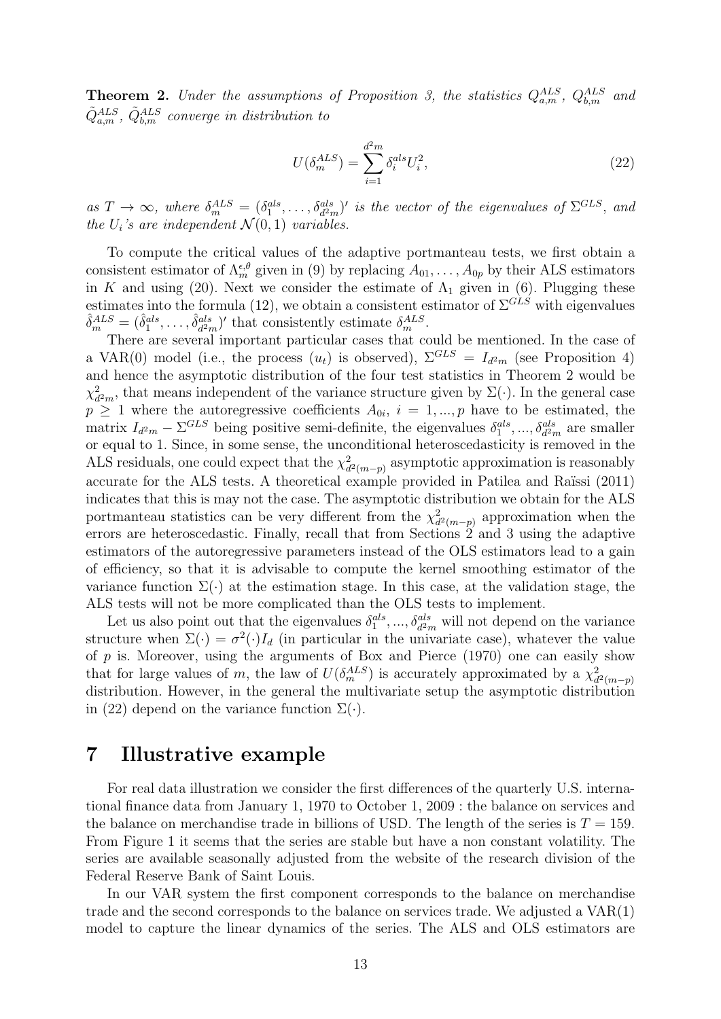**Theorem 2.** *Under the assumptions of Proposition 3, the statistics*  $Q_{a,m}^{ALS}$ ,  $Q_{b,m}^{ALS}$  and  $\tilde{Q}^{ALS}_{a,m}$ ,  $\tilde{Q}^{ALS}_{b,m}$  *converge in distribution to* 

$$
U(\delta_m^{ALS}) = \sum_{i=1}^{d^2 m} \delta_i^{als} U_i^2,\tag{22}
$$

as  $T \to \infty$ , where  $\delta_m^{ALS} = (\delta_1^{als}, \ldots, \delta_{d^2m}^{als})'$  is the vector of the eigenvalues of  $\Sigma^{GLS}$ , and *the*  $U_i$ *'s* are independent  $\mathcal{N}(0,1)$  variables.

To compute the critical values of the adaptive portmanteau tests, we first obtain a consistent estimator of  $\Lambda_m^{\epsilon,\theta}$  given in (9) by replacing  $A_{01}, \ldots, A_{0p}$  by their ALS estimators in *K* and using (20). Next we consider the estimate of  $\Lambda_1$  given in (6). Plugging these estimates into the formula (12), we obtain a consistent estimator of  $\Sigma^{GLS}$  with eigenvalues  $\hat{\delta}_m^{ALS} = (\hat{\delta}_1^{als}, \ldots, \hat{\delta}_{d^2}^{als})$  $\frac{ds}{d^2m}$ <sup>*/*</sup> that consistently estimate  $\delta_m^{ALS}$ .

There are several important particular cases that could be mentioned. In the case of a VAR(0) model (i.e., the process  $(u_t)$  is observed),  $\Sigma^{GLS} = I_{d^2m}$  (see Proposition 4) and hence the asymptotic distribution of the four test statistics in Theorem 2 would be *χ* 2  $\frac{2}{d^2m}$ , that means independent of the variance structure given by  $\Sigma(\cdot)$ . In the general case  $p \geq 1$  where the autoregressive coefficients  $A_{0i}$ ,  $i = 1, ..., p$  have to be estimated, the matrix  $I_{d^2m} - \Sigma^{GLS}$  being positive semi-definite, the eigenvalues  $\delta_1^{als}, ..., \delta_{d^2m}^{als}$  are smaller or equal to 1. Since, in some sense, the unconditional heteroscedasticity is removed in the ALS residuals, one could expect that the  $\chi^2$  $\frac{2}{d^2(m-p)}$  asymptotic approximation is reasonably accurate for the ALS tests. A theoretical example provided in Patilea and Raïssi (2011) indicates that this is may not the case. The asymptotic distribution we obtain for the ALS portmanteau statistics can be very different from the  $\chi^2$ *d* <sup>2</sup>(*m−p*) approximation when the errors are heteroscedastic. Finally, recall that from Sections 2 and 3 using the adaptive estimators of the autoregressive parameters instead of the OLS estimators lead to a gain of efficiency, so that it is advisable to compute the kernel smoothing estimator of the variance function  $\Sigma(\cdot)$  at the estimation stage. In this case, at the validation stage, the ALS tests will not be more complicated than the OLS tests to implement.

Let us also point out that the eigenvalues  $\delta_1^{als}, \dots, \delta_{d^2m}^{als}$  will not depend on the variance structure when  $\Sigma(\cdot) = \sigma^2(\cdot)I_d$  (in particular in the univariate case), whatever the value of *p* is. Moreover, using the arguments of Box and Pierce (1970) one can easily show that for large values of *m*, the law of  $U(\delta_m^{ALS})$  is accurately approximated by a  $\chi_d^2$ *d* <sup>2</sup>(*m−p*) distribution. However, in the general the multivariate setup the asymptotic distribution in (22) depend on the variance function  $\Sigma(\cdot)$ .

#### **7 Illustrative example**

For real data illustration we consider the first differences of the quarterly U.S. international finance data from January 1, 1970 to October 1, 2009 : the balance on services and the balance on merchandise trade in billions of USD. The length of the series is  $T = 159$ . From Figure 1 it seems that the series are stable but have a non constant volatility. The series are available seasonally adjusted from the website of the research division of the Federal Reserve Bank of Saint Louis.

In our VAR system the first component corresponds to the balance on merchandise trade and the second corresponds to the balance on services trade. We adjusted a VAR(1) model to capture the linear dynamics of the series. The ALS and OLS estimators are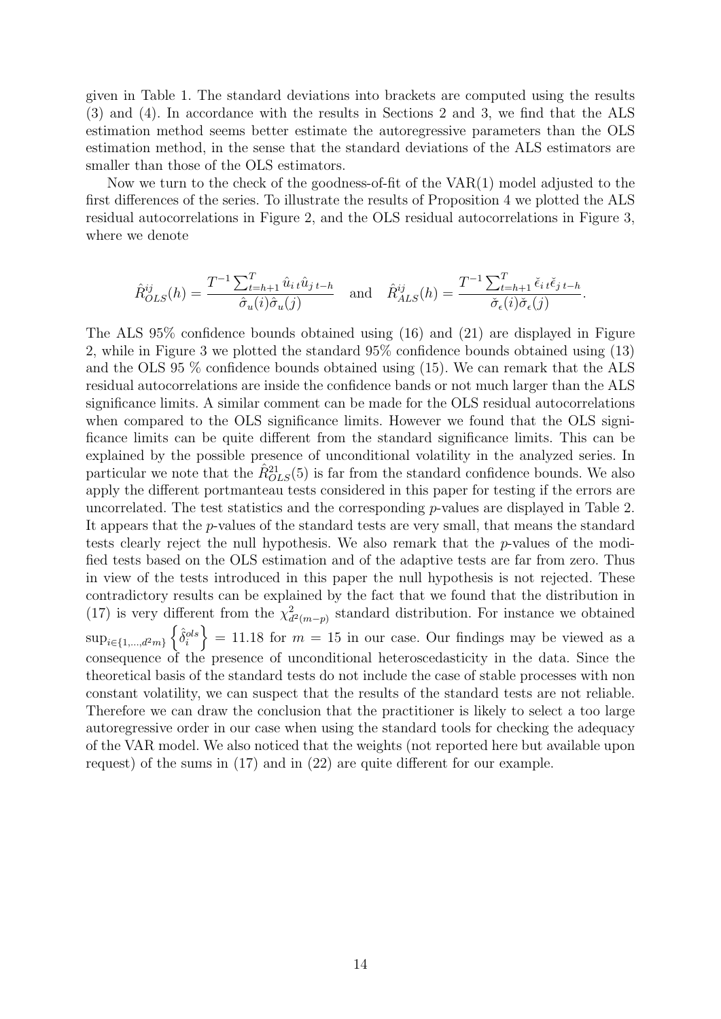given in Table 1. The standard deviations into brackets are computed using the results (3) and (4). In accordance with the results in Sections 2 and 3, we find that the ALS estimation method seems better estimate the autoregressive parameters than the OLS estimation method, in the sense that the standard deviations of the ALS estimators are smaller than those of the OLS estimators.

Now we turn to the check of the goodness-of-fit of the VAR(1) model adjusted to the first differences of the series. To illustrate the results of Proposition 4 we plotted the ALS residual autocorrelations in Figure 2, and the OLS residual autocorrelations in Figure 3, where we denote

$$
\hat{R}_{OLS}^{ij}(h) = \frac{T^{-1} \sum_{t=h+1}^{T} \hat{u}_{it} \hat{u}_{jt-h}}{\hat{\sigma}_u(i)\hat{\sigma}_u(j)} \quad \text{and} \quad \hat{R}_{ALS}^{ij}(h) = \frac{T^{-1} \sum_{t=h+1}^{T} \check{\epsilon}_{it} \check{\epsilon}_{jt-h}}{\check{\sigma}_\epsilon(i)\check{\sigma}_\epsilon(j)}.
$$

The ALS 95% confidence bounds obtained using (16) and (21) are displayed in Figure 2, while in Figure 3 we plotted the standard 95% confidence bounds obtained using (13) and the OLS 95 % confidence bounds obtained using (15). We can remark that the ALS residual autocorrelations are inside the confidence bands or not much larger than the ALS significance limits. A similar comment can be made for the OLS residual autocorrelations when compared to the OLS significance limits. However we found that the OLS significance limits can be quite different from the standard significance limits. This can be explained by the possible presence of unconditional volatility in the analyzed series. In particular we note that the  $\hat{R}_{OLS}^{21}(5)$  is far from the standard confidence bounds. We also apply the different portmanteau tests considered in this paper for testing if the errors are uncorrelated. The test statistics and the corresponding *p*-values are displayed in Table 2. It appears that the *p*-values of the standard tests are very small, that means the standard tests clearly reject the null hypothesis. We also remark that the *p*-values of the modified tests based on the OLS estimation and of the adaptive tests are far from zero. Thus in view of the tests introduced in this paper the null hypothesis is not rejected. These contradictory results can be explained by the fact that we found that the distribution in (17) is very different from the  $\chi^2$  $\frac{2}{d^2(m-p)}$  standard distribution. For instance we obtained  $\sup_{i\in\{1,\ldots,d^2m\}}\left\{\hat{\delta}_i^{ols}\right\} = 11.18$  for  $m = 15$  in our case. Our findings may be viewed as a consequence of the presence of unconditional heteroscedasticity in the data. Since the theoretical basis of the standard tests do not include the case of stable processes with non constant volatility, we can suspect that the results of the standard tests are not reliable. Therefore we can draw the conclusion that the practitioner is likely to select a too large autoregressive order in our case when using the standard tools for checking the adequacy of the VAR model. We also noticed that the weights (not reported here but available upon request) of the sums in (17) and in (22) are quite different for our example.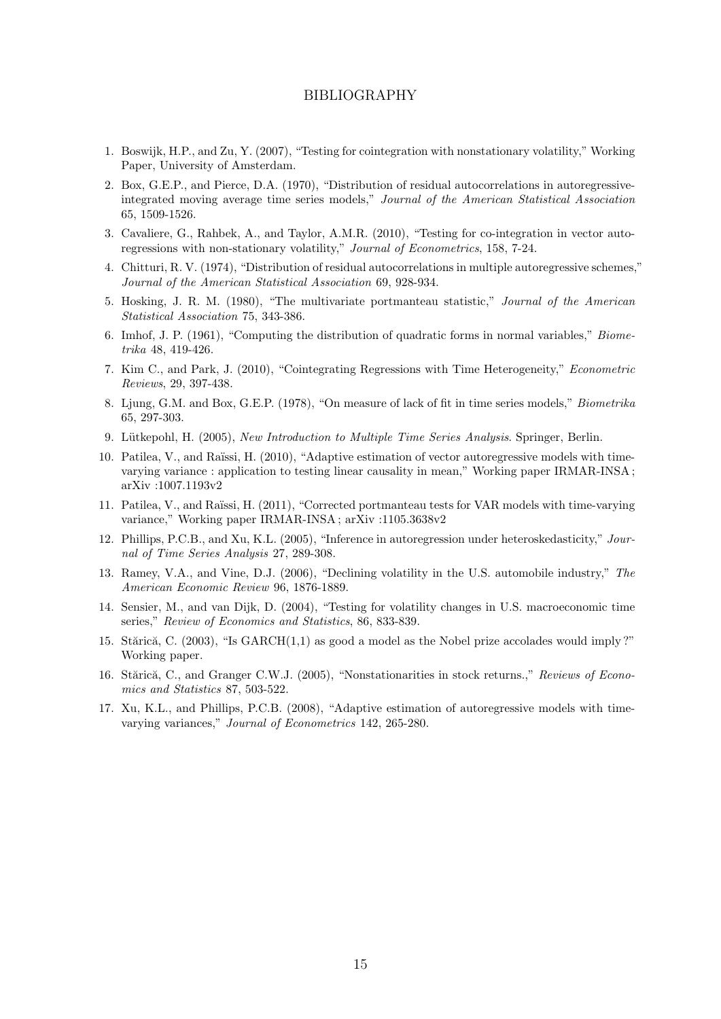#### BIBLIOGRAPHY

- 1. Boswijk, H.P., and Zu, Y. (2007), "Testing for cointegration with nonstationary volatility," Working Paper, University of Amsterdam.
- 2. Box, G.E.P., and Pierce, D.A. (1970), "Distribution of residual autocorrelations in autoregressiveintegrated moving average time series models," *Journal of the American Statistical Association* 65, 1509-1526.
- 3. Cavaliere, G., Rahbek, A., and Taylor, A.M.R. (2010), "Testing for co-integration in vector autoregressions with non-stationary volatility," *Journal of Econometrics*, 158, 7-24.
- 4. Chitturi, R. V. (1974), "Distribution of residual autocorrelations in multiple autoregressive schemes," *Journal of the American Statistical Association* 69, 928-934.
- 5. Hosking, J. R. M. (1980), "The multivariate portmanteau statistic," *Journal of the American Statistical Association* 75, 343-386.
- 6. Imhof, J. P. (1961), "Computing the distribution of quadratic forms in normal variables," *Biometrika* 48, 419-426.
- 7. Kim C., and Park, J. (2010), "Cointegrating Regressions with Time Heterogeneity," *Econometric Reviews*, 29, 397-438.
- 8. Ljung, G.M. and Box, G.E.P. (1978), "On measure of lack of fit in time series models," *Biometrika* 65, 297-303.
- 9. L¨utkepohl, H. (2005), *New Introduction to Multiple Time Series Analysis*. Springer, Berlin.
- 10. Patilea, V., and Raïssi, H. (2010), "Adaptive estimation of vector autoregressive models with timevarying variance : application to testing linear causality in mean," Working paper IRMAR-INSA ; arXiv :1007.1193v2
- 11. Patilea, V., and Ra¨ıssi, H. (2011), "Corrected portmanteau tests for VAR models with time-varying variance," Working paper IRMAR-INSA ; arXiv :1105.3638v2
- 12. Phillips, P.C.B., and Xu, K.L. (2005), "Inference in autoregression under heteroskedasticity," *Journal of Time Series Analysis* 27, 289-308.
- 13. Ramey, V.A., and Vine, D.J. (2006), "Declining volatility in the U.S. automobile industry," *The American Economic Review* 96, 1876-1889.
- 14. Sensier, M., and van Dijk, D. (2004), "Testing for volatility changes in U.S. macroeconomic time series," *Review of Economics and Statistics*, 86, 833-839.
- 15. Stărică, C. (2003), "Is  $GARCH(1,1)$  as good a model as the Nobel prize accolades would imply?" Working paper.
- 16. Stărică, C., and Granger C.W.J. (2005), "Nonstationarities in stock returns.," *Reviews of Economics and Statistics* 87, 503-522.
- 17. Xu, K.L., and Phillips, P.C.B. (2008), "Adaptive estimation of autoregressive models with timevarying variances," *Journal of Econometrics* 142, 265-280.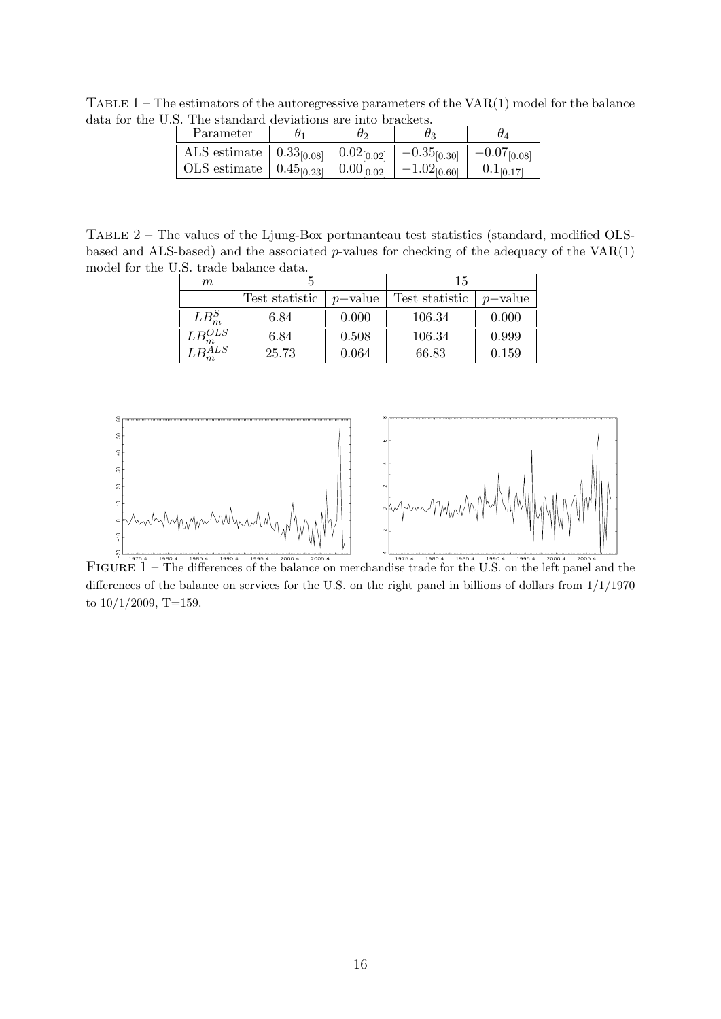TABLE  $1$  – The estimators of the autoregressive parameters of the VAR(1) model for the balance data for the U.S. The standard deviations are into brackets.

| Parameter                                                 | ワつ                   | UЗ               |                  |
|-----------------------------------------------------------|----------------------|------------------|------------------|
| $\overline{\text{ALS}}$ estimate   0.33 <sub>[0.08]</sub> | $\mid 0.02_{[0.02]}$ | $-0.35_{[0.30]}$ | $-0.07_{[0.08]}$ |
| OLS estimate $  0.45_{[0.23]}  $                          | $0.00_{[0.02]}$      | $-1.02_{[0.60]}$ |                  |

TABLE 2 – The values of the Ljung-Box portmanteau test statistics (standard, modified OLSbased and ALS-based) and the associated *p*-values for checking of the adequacy of the VAR(1) model for the U.S. trade balance data.

| $m\,$    |                |            | 15             |            |
|----------|----------------|------------|----------------|------------|
|          | Test statistic | $p$ -value | Test statistic | $p$ -value |
| $LB_m^S$ | 6.84           | 0.000      | 106.34         | 0.000      |
|          | 6.84           | 0.508      | 106.34         | 0.999      |
|          | 25.73          | 0.064      | 66.83          | 0.159      |



FIGURE  $1 -$ The differences of the balance on merchandise trade for the U.S. on the left panel and the differences of the balance on services for the U.S. on the right panel in billions of dollars from 1/1/1970 to  $10/1/2009$ , T=159.